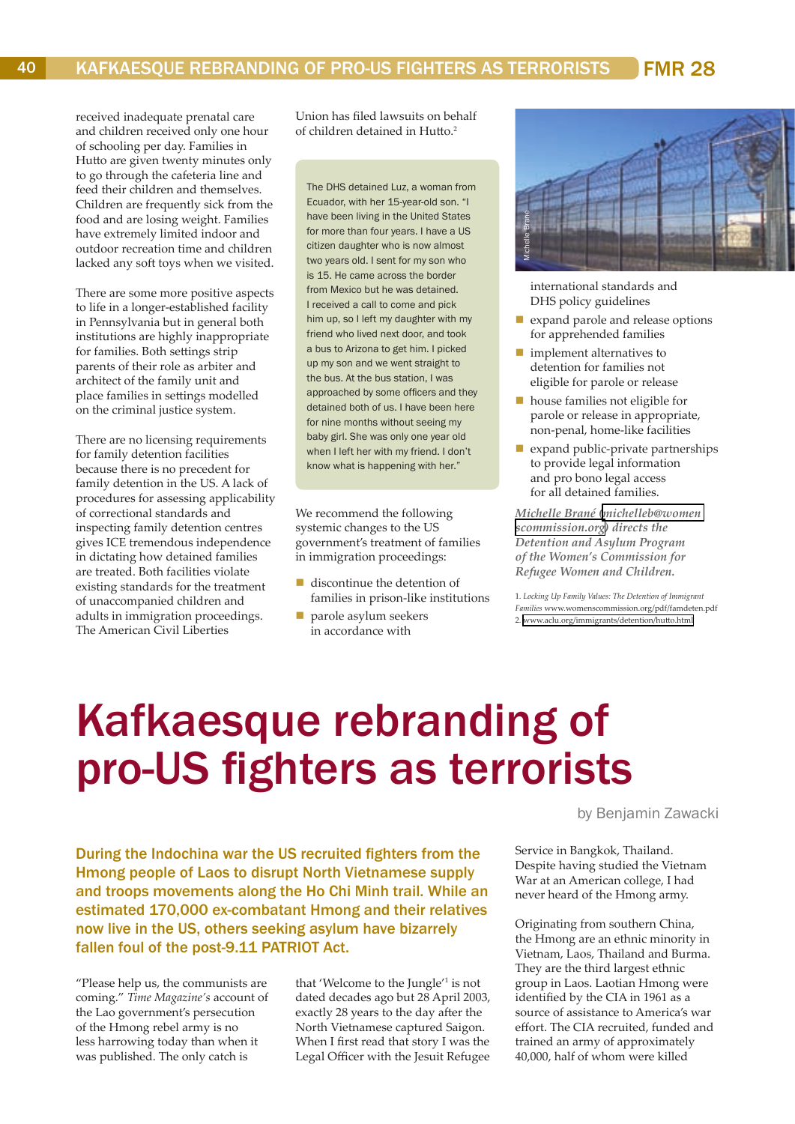## Kafkaesque rebranding of pro-US fighters as terrorists

by Benjamin Zawacki

During the Indochina war the US recruited fighters from the Hmong people of Laos to disrupt North Vietnamese supply and troops movements along the Ho Chi Minh trail. While an estimated 170,000 ex-combatant Hmong and their relatives now live in the US, others seeking asylum have bizarrely fallen foul of the post-9.11 PATRIOT Act.

"Please help us, the communists are coming." *Time Magazine's* account of the Lao government's persecution of the Hmong rebel army is no less harrowing today than when it was published. The only catch is

that 'Welcome to the Jungle'<sup>1</sup> is not dated decades ago but 28 April 2003, exactly 28 years to the day after the North Vietnamese captured Saigon. When I first read that story I was the Legal Officer with the Jesuit Refugee

Service in Bangkok, Thailand. Despite having studied the Vietnam War at an American college, I had never heard of the Hmong army.

Originating from southern China, the Hmong are an ethnic minority in Vietnam, Laos, Thailand and Burma. They are the third largest ethnic group in Laos. Laotian Hmong were identified by the CIA in 1961 as a source of assistance to America's war effort. The CIA recruited, funded and trained an army of approximately 40,000, half of whom were killed